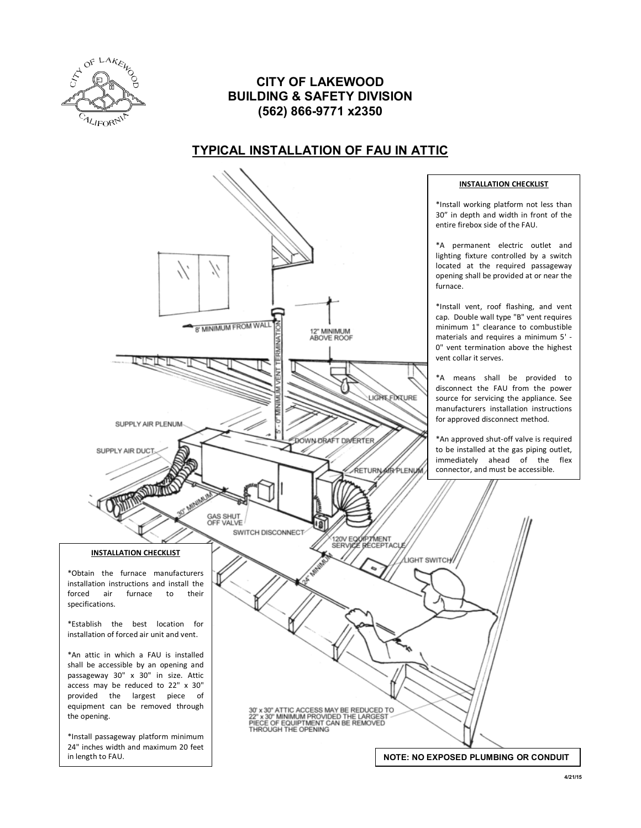

#### **CITY OF LAKEWOOD BUILDING & SAFETY DIVISION (562) 866-9771 x2350**

## **TYPICAL INSTALLATION OF FAU IN ATTIC**